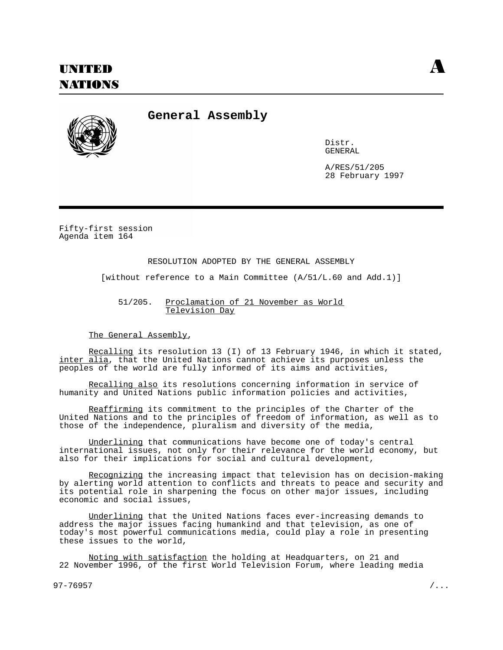

**General Assembly**

Distr. GENERAL

A/RES/51/205 28 February 1997

Fifty-first session Agenda item 164

## RESOLUTION ADOPTED BY THE GENERAL ASSEMBLY

[without reference to a Main Committee (A/51/L.60 and Add.1)]

51/205. Proclamation of 21 November as World Television Day

The General Assembly,

Recalling its resolution 13 (I) of 13 February 1946, in which it stated, inter alia, that the United Nations cannot achieve its purposes unless the peoples of the world are fully informed of its aims and activities,

Recalling also its resolutions concerning information in service of humanity and United Nations public information policies and activities,

Reaffirming its commitment to the principles of the Charter of the United Nations and to the principles of freedom of information, as well as to those of the independence, pluralism and diversity of the media,

Underlining that communications have become one of today's central international issues, not only for their relevance for the world economy, but also for their implications for social and cultural development,

Recognizing the increasing impact that television has on decision-making by alerting world attention to conflicts and threats to peace and security and its potential role in sharpening the focus on other major issues, including economic and social issues,

Underlining that the United Nations faces ever-increasing demands to address the major issues facing humankind and that television, as one of today's most powerful communications media, could play a role in presenting these issues to the world,

Noting with satisfaction the holding at Headquarters, on 21 and 22 November 1996, of the first World Television Forum, where leading media

97-76957 /...